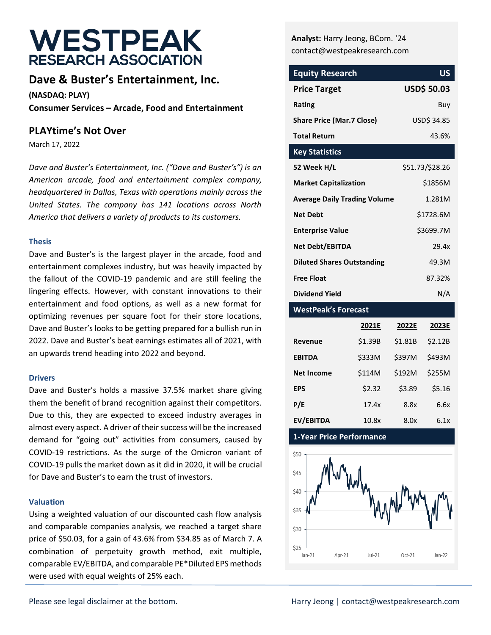# **WESTPEAK RESEARCH ASSOCIATION**

## **Dave & Buster's Entertainment, Inc.**

**(NASDAQ: PLAY) Consumer Services – Arcade, Food and Entertainment**

#### **PLAYtime's Not Over**

March 17, 2022

*Dave and Buster's Entertainment, Inc. ("Dave and Buster's") is an American arcade, food and entertainment complex company, headquartered in Dallas, Texas with operations mainly across the United States. The company has 141 locations across North America that delivers a variety of products to its customers.*

#### **Thesis**

Dave and Buster's is the largest player in the arcade, food and entertainment complexes industry, but was heavily impacted by the fallout of the COVID-19 pandemic and are still feeling the lingering effects. However, with constant innovations to their entertainment and food options, as well as a new format for optimizing revenues per square foot for their store locations, Dave and Buster's looks to be getting prepared for a bullish run in 2022. Dave and Buster's beat earnings estimates all of 2021, with an upwards trend heading into 2022 and beyond.

#### **Drivers**

Dave and Buster's holds a massive 37.5% market share giving them the benefit of brand recognition against their competitors. Due to this, they are expected to exceed industry averages in almost every aspect. A driver of their success will be the increased demand for "going out" activities from consumers, caused by COVID-19 restrictions. As the surge of the Omicron variant of COVID-19 pulls the market down as it did in 2020, it will be crucial for Dave and Buster's to earn the trust of investors.

#### **Valuation**

Using a weighted valuation of our discounted cash flow analysis and comparable companies analysis, we reached a target share price of \$50.03, for a gain of 43.6% from \$34.85 as of March 7. A combination of perpetuity growth method, exit multiple, comparable EV/EBITDA, and comparable PE\*Diluted EPS methods were used with equal weights of 25% each.

**Analyst:** Harry Jeong, BCom. '24 contact@westpeakresearch.com

| <b>Equity Research</b>              | <b>US</b>          |
|-------------------------------------|--------------------|
| <b>Price Target</b>                 | <b>USD\$ 50.03</b> |
| <b>Rating</b>                       | Buv                |
| <b>Share Price (Mar.7 Close)</b>    | USD\$ 34.85        |
| <b>Total Return</b>                 | 43.6%              |
| <b>Key Statistics</b>               |                    |
| 52 Week H/L                         | \$51.73/\$28.26    |
| <b>Market Capitalization</b>        | \$1856M            |
| <b>Average Daily Trading Volume</b> | 1.281M             |
| <b>Net Debt</b>                     | \$1728.6M          |
| <b>Enterprise Value</b>             | \$3699.7M          |
| <b>Net Debt/EBITDA</b>              | 29.4x              |
| <b>Diluted Shares Outstanding</b>   | 49.3M              |
| <b>Free Float</b>                   | 87.32%             |
| Dividend Yield                      | N/A                |

#### **WestPeak's Forecast**

|                   | 2021E   | 2022E   | 2023E   |
|-------------------|---------|---------|---------|
| Revenue           | \$1.39B | \$1.81B | \$2.12B |
| <b>EBITDA</b>     | \$333M  | \$397M  | \$493M  |
| <b>Net Income</b> | \$114M  | \$192M  | \$255M  |
| <b>EPS</b>        | \$2.32  | \$3.89  | \$5.16  |
| P/E               | 17.4x   | 8.8x    | 6.6x    |
| <b>EV/EBITDA</b>  | 10.8x   | 8.0x    | 6.1x    |

**1-Year Price Performance**

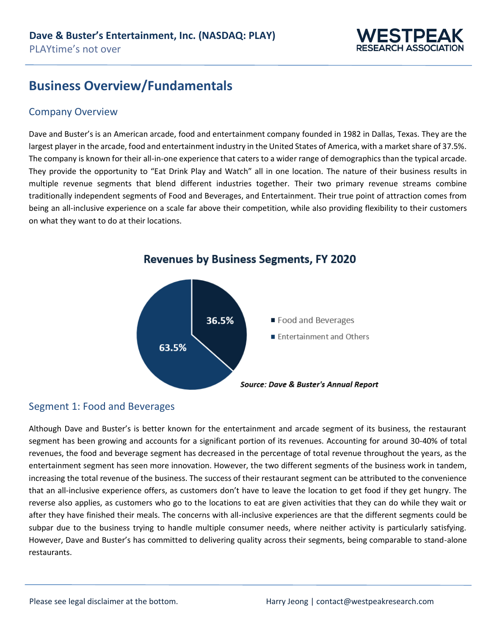

## **Business Overview/Fundamentals**

#### Company Overview

Dave and Buster's is an American arcade, food and entertainment company founded in 1982 in Dallas, Texas. They are the largest player in the arcade, food and entertainment industry in the United States of America, with a market share of 37.5%. The company is known for their all-in-one experience that caters to a wider range of demographics than the typical arcade. They provide the opportunity to "Eat Drink Play and Watch" all in one location. The nature of their business results in multiple revenue segments that blend different industries together. Their two primary revenue streams combine traditionally independent segments of Food and Beverages, and Entertainment. Their true point of attraction comes from being an all-inclusive experience on a scale far above their competition, while also providing flexibility to their customers on what they want to do at their locations.



**Revenues by Business Segments, FY 2020** 

### Segment 1: Food and Beverages

Although Dave and Buster's is better known for the entertainment and arcade segment of its business, the restaurant segment has been growing and accounts for a significant portion of its revenues. Accounting for around 30-40% of total revenues, the food and beverage segment has decreased in the percentage of total revenue throughout the years, as the entertainment segment has seen more innovation. However, the two different segments of the business work in tandem, increasing the total revenue of the business. The success of their restaurant segment can be attributed to the convenience that an all-inclusive experience offers, as customers don't have to leave the location to get food if they get hungry. The reverse also applies, as customers who go to the locations to eat are given activities that they can do while they wait or after they have finished their meals. The concerns with all-inclusive experiences are that the different segments could be subpar due to the business trying to handle multiple consumer needs, where neither activity is particularly satisfying. However, Dave and Buster's has committed to delivering quality across their segments, being comparable to stand-alone restaurants.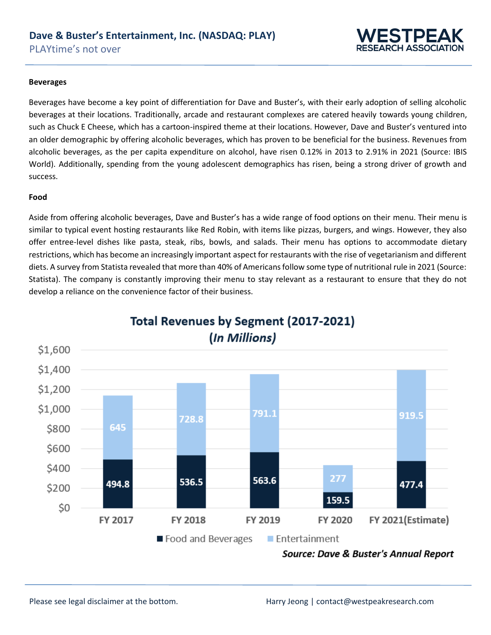

#### **Beverages**

Beverages have become a key point of differentiation for Dave and Buster's, with their early adoption of selling alcoholic beverages at their locations. Traditionally, arcade and restaurant complexes are catered heavily towards young children, such as Chuck E Cheese, which has a cartoon-inspired theme at their locations. However, Dave and Buster's ventured into an older demographic by offering alcoholic beverages, which has proven to be beneficial for the business. Revenues from alcoholic beverages, as the per capita expenditure on alcohol, have risen 0.12% in 2013 to 2.91% in 2021 (Source: IBIS World). Additionally, spending from the young adolescent demographics has risen, being a strong driver of growth and success.

#### **Food**

Aside from offering alcoholic beverages, Dave and Buster's has a wide range of food options on their menu. Their menu is similar to typical event hosting restaurants like Red Robin, with items like pizzas, burgers, and wings. However, they also offer entree-level dishes like pasta, steak, ribs, bowls, and salads. Their menu has options to accommodate dietary restrictions, which has become an increasingly important aspect for restaurants with the rise of vegetarianism and different diets. A survey from Statista revealed that more than 40% of Americans follow some type of nutritional rule in 2021 (Source: Statista). The company is constantly improving their menu to stay relevant as a restaurant to ensure that they do not develop a reliance on the convenience factor of their business.



## Total Revenues by Segment (2017-2021) (In Millions)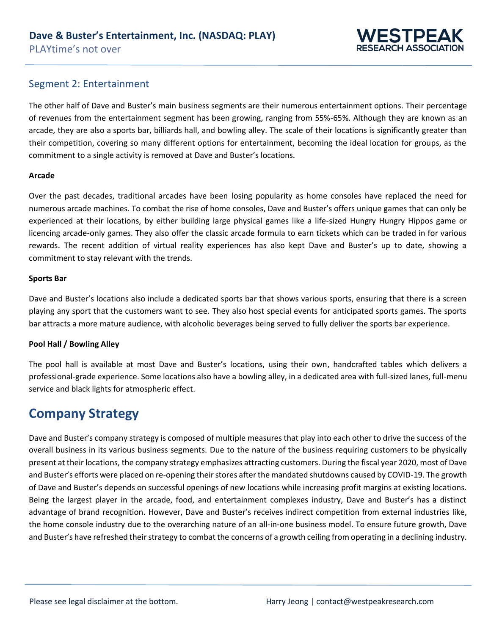

#### Segment 2: Entertainment

The other half of Dave and Buster's main business segments are their numerous entertainment options. Their percentage of revenues from the entertainment segment has been growing, ranging from 55%-65%. Although they are known as an arcade, they are also a sports bar, billiards hall, and bowling alley. The scale of their locations is significantly greater than their competition, covering so many different options for entertainment, becoming the ideal location for groups, as the commitment to a single activity is removed at Dave and Buster's locations.

#### **Arcade**

Over the past decades, traditional arcades have been losing popularity as home consoles have replaced the need for numerous arcade machines. To combat the rise of home consoles, Dave and Buster's offers unique games that can only be experienced at their locations, by either building large physical games like a life-sized Hungry Hungry Hippos game or licencing arcade-only games. They also offer the classic arcade formula to earn tickets which can be traded in for various rewards. The recent addition of virtual reality experiences has also kept Dave and Buster's up to date, showing a commitment to stay relevant with the trends.

#### **Sports Bar**

Dave and Buster's locations also include a dedicated sports bar that shows various sports, ensuring that there is a screen playing any sport that the customers want to see. They also host special events for anticipated sports games. The sports bar attracts a more mature audience, with alcoholic beverages being served to fully deliver the sports bar experience.

#### **Pool Hall / Bowling Alley**

The pool hall is available at most Dave and Buster's locations, using their own, handcrafted tables which delivers a professional-grade experience. Some locations also have a bowling alley, in a dedicated area with full-sized lanes, full-menu service and black lights for atmospheric effect.

## **Company Strategy**

Dave and Buster's company strategy is composed of multiple measures that play into each other to drive the success of the overall business in its various business segments. Due to the nature of the business requiring customers to be physically present at their locations, the company strategy emphasizes attracting customers. During the fiscal year 2020, most of Dave and Buster's efforts were placed on re-opening their stores after the mandated shutdowns caused by COVID-19. The growth of Dave and Buster's depends on successful openings of new locations while increasing profit margins at existing locations. Being the largest player in the arcade, food, and entertainment complexes industry, Dave and Buster's has a distinct advantage of brand recognition. However, Dave and Buster's receives indirect competition from external industries like, the home console industry due to the overarching nature of an all-in-one business model. To ensure future growth, Dave and Buster's have refreshed their strategy to combat the concerns of a growth ceiling from operating in a declining industry.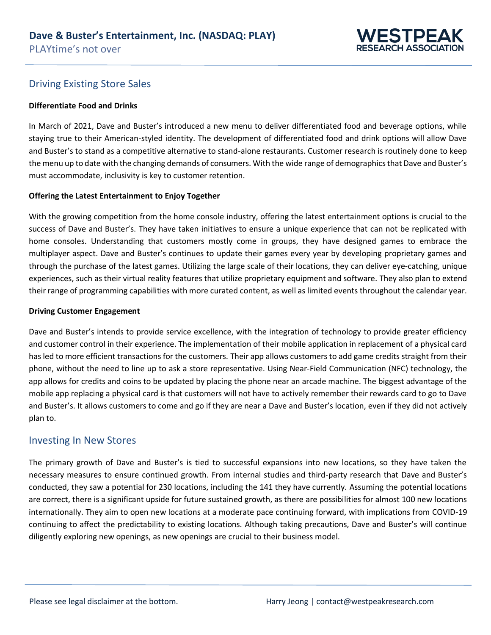

### Driving Existing Store Sales

#### **Differentiate Food and Drinks**

In March of 2021, Dave and Buster's introduced a new menu to deliver differentiated food and beverage options, while staying true to their American-styled identity. The development of differentiated food and drink options will allow Dave and Buster's to stand as a competitive alternative to stand-alone restaurants. Customer research is routinely done to keep the menu up to date with the changing demands of consumers. With the wide range of demographics that Dave and Buster's must accommodate, inclusivity is key to customer retention.

#### **Offering the Latest Entertainment to Enjoy Together**

With the growing competition from the home console industry, offering the latest entertainment options is crucial to the success of Dave and Buster's. They have taken initiatives to ensure a unique experience that can not be replicated with home consoles. Understanding that customers mostly come in groups, they have designed games to embrace the multiplayer aspect. Dave and Buster's continues to update their games every year by developing proprietary games and through the purchase of the latest games. Utilizing the large scale of their locations, they can deliver eye-catching, unique experiences, such as their virtual reality features that utilize proprietary equipment and software. They also plan to extend their range of programming capabilities with more curated content, as well as limited events throughout the calendar year.

#### **Driving Customer Engagement**

Dave and Buster's intends to provide service excellence, with the integration of technology to provide greater efficiency and customer control in their experience. The implementation of their mobile application in replacement of a physical card has led to more efficient transactions for the customers. Their app allows customers to add game credits straight from their phone, without the need to line up to ask a store representative. Using Near-Field Communication (NFC) technology, the app allows for credits and coins to be updated by placing the phone near an arcade machine. The biggest advantage of the mobile app replacing a physical card is that customers will not have to actively remember their rewards card to go to Dave and Buster's. It allows customers to come and go if they are near a Dave and Buster's location, even if they did not actively plan to.

#### Investing In New Stores

The primary growth of Dave and Buster's is tied to successful expansions into new locations, so they have taken the necessary measures to ensure continued growth. From internal studies and third-party research that Dave and Buster's conducted, they saw a potential for 230 locations, including the 141 they have currently. Assuming the potential locations are correct, there is a significant upside for future sustained growth, as there are possibilities for almost 100 new locations internationally. They aim to open new locations at a moderate pace continuing forward, with implications from COVID-19 continuing to affect the predictability to existing locations. Although taking precautions, Dave and Buster's will continue diligently exploring new openings, as new openings are crucial to their business model.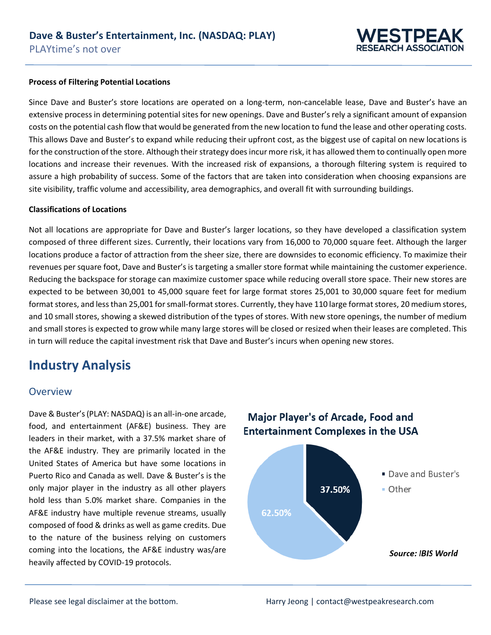

#### **Process of Filtering Potential Locations**

Since Dave and Buster's store locations are operated on a long-term, non-cancelable lease, Dave and Buster's have an extensive process in determining potential sites for new openings. Dave and Buster's rely a significant amount of expansion costs on the potential cash flow that would be generated from the new location to fund the lease and other operating costs. This allows Dave and Buster's to expand while reducing their upfront cost, as the biggest use of capital on new locations is for the construction of the store. Although their strategy does incur more risk, it has allowed them to continually open more locations and increase their revenues. With the increased risk of expansions, a thorough filtering system is required to assure a high probability of success. Some of the factors that are taken into consideration when choosing expansions are site visibility, traffic volume and accessibility, area demographics, and overall fit with surrounding buildings.

#### **Classifications of Locations**

Not all locations are appropriate for Dave and Buster's larger locations, so they have developed a classification system composed of three different sizes. Currently, their locations vary from 16,000 to 70,000 square feet. Although the larger locations produce a factor of attraction from the sheer size, there are downsides to economic efficiency. To maximize their revenues per square foot, Dave and Buster's is targeting a smaller store format while maintaining the customer experience. Reducing the backspace for storage can maximize customer space while reducing overall store space. Their new stores are expected to be between 30,001 to 45,000 square feet for large format stores 25,001 to 30,000 square feet for medium format stores, and less than 25,001 for small-format stores. Currently, they have 110 large format stores, 20 medium stores, and 10 small stores, showing a skewed distribution of the types of stores. With new store openings, the number of medium and small stores is expected to grow while many large stores will be closed or resized when their leases are completed. This in turn will reduce the capital investment risk that Dave and Buster's incurs when opening new stores.

## **Industry Analysis**

#### Overview

Dave & Buster's (PLAY: NASDAQ) is an all-in-one arcade, food, and entertainment (AF&E) business. They are leaders in their market, with a 37.5% market share of the AF&E industry. They are primarily located in the United States of America but have some locations in Puerto Rico and Canada as well. Dave & Buster's is the only major player in the industry as all other players hold less than 5.0% market share. Companies in the AF&E industry have multiple revenue streams, usually composed of food & drinks as well as game credits. Due to the nature of the business relying on customers coming into the locations, the AF&E industry was/are heavily affected by COVID-19 protocols.



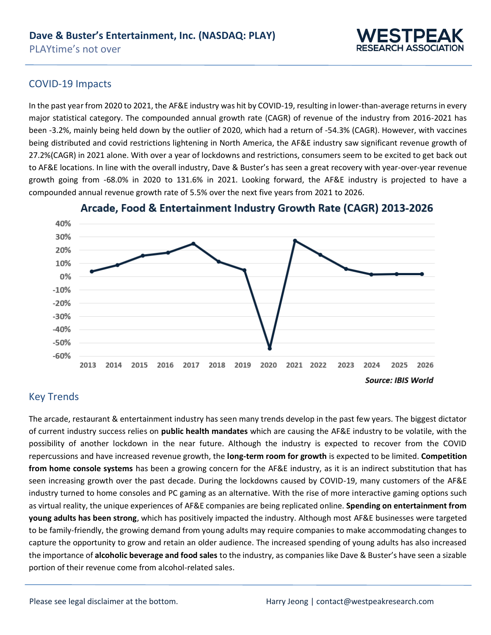

#### COVID-19 Impacts

In the past year from 2020 to 2021, the AF&E industry was hit by COVID-19, resulting in lower-than-average returns in every major statistical category. The compounded annual growth rate (CAGR) of revenue of the industry from 2016-2021 has been -3.2%, mainly being held down by the outlier of 2020, which had a return of -54.3% (CAGR). However, with vaccines being distributed and covid restrictions lightening in North America, the AF&E industry saw significant revenue growth of 27.2%(CAGR) in 2021 alone. With over a year of lockdowns and restrictions, consumers seem to be excited to get back out to AF&E locations. In line with the overall industry, Dave & Buster's has seen a great recovery with year-over-year revenue growth going from -68.0% in 2020 to 131.6% in 2021. Looking forward, the AF&E industry is projected to have a compounded annual revenue growth rate of 5.5% over the next five years from 2021 to 2026.



Arcade, Food & Entertainment Industry Growth Rate (CAGR) 2013-2026

### Key Trends

The arcade, restaurant & entertainment industry has seen many trends develop in the past few years. The biggest dictator of current industry success relies on **public health mandates** which are causing the AF&E industry to be volatile, with the possibility of another lockdown in the near future. Although the industry is expected to recover from the COVID repercussions and have increased revenue growth, the **long-term room for growth** is expected to be limited. **Competition from home console systems** has been a growing concern for the AF&E industry, as it is an indirect substitution that has seen increasing growth over the past decade. During the lockdowns caused by COVID-19, many customers of the AF&E industry turned to home consoles and PC gaming as an alternative. With the rise of more interactive gaming options such as virtual reality, the unique experiences of AF&E companies are being replicated online. **Spending on entertainment from young adults has been strong**, which has positively impacted the industry. Although most AF&E businesses were targeted to be family-friendly, the growing demand from young adults may require companies to make accommodating changes to capture the opportunity to grow and retain an older audience. The increased spending of young adults has also increased the importance of **alcoholic beverage and food sales** to the industry, as companies like Dave & Buster's have seen a sizable portion of their revenue come from alcohol-related sales.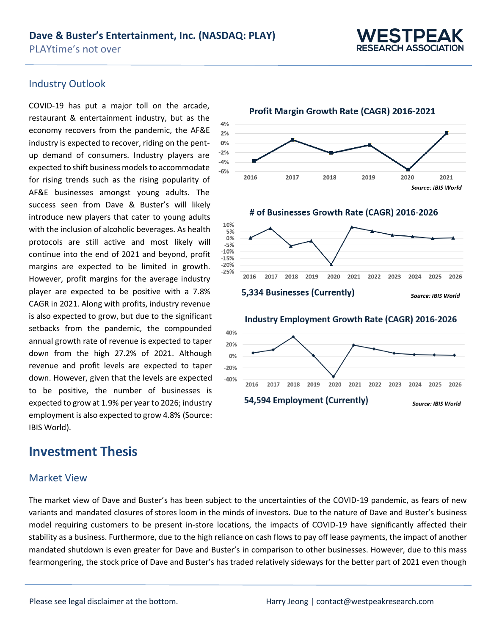0%

 $-4%$ 



#### Industry Outlook

COVID-19 has put a major toll on the arcade, restaurant & entertainment industry, but as the economy recovers from the pandemic, the AF&E industry is expected to recover, riding on the pent- $-2%$ up demand of consumers. Industry players are expected to shift business models to accommodate  $-6%$ for rising trends such as the rising popularity of AF&E businesses amongst young adults. The success seen from Dave & Buster's will likely introduce new players that cater to young adults with the inclusion of alcoholic beverages. As health protocols are still active and most likely will continue into the end of 2021 and beyond, profit margins are expected to be limited in growth. However, profit margins for the average industry player are expected to be positive with a 7.8% CAGR in 2021. Along with profits, industry revenue is also expected to grow, but due to the significant setbacks from the pandemic, the compounded annual growth rate of revenue is expected to taper down from the high 27.2% of 2021. Although revenue and profit levels are expected to taper down. However, given that the levels are expected to be positive, the number of businesses is expected to grow at 1.9% per year to 2026; industry employment is also expected to grow 4.8% (Source: IBIS World).

## **Investment Thesis**

#### Market View

The market view of Dave and Buster's has been subject to the uncertainties of the COVID-19 pandemic, as fears of new variants and mandated closures of stores loom in the minds of investors. Due to the nature of Dave and Buster's business model requiring customers to be present in-store locations, the impacts of COVID-19 have significantly affected their stability as a business. Furthermore, due to the high reliance on cash flows to pay off lease payments, the impact of another mandated shutdown is even greater for Dave and Buster's in comparison to other businesses. However, due to this mass fearmongering, the stock price of Dave and Buster's has traded relatively sideways for the better part of 2021 even though



Profit Margin Growth Rate (CAGR) 2016-2021



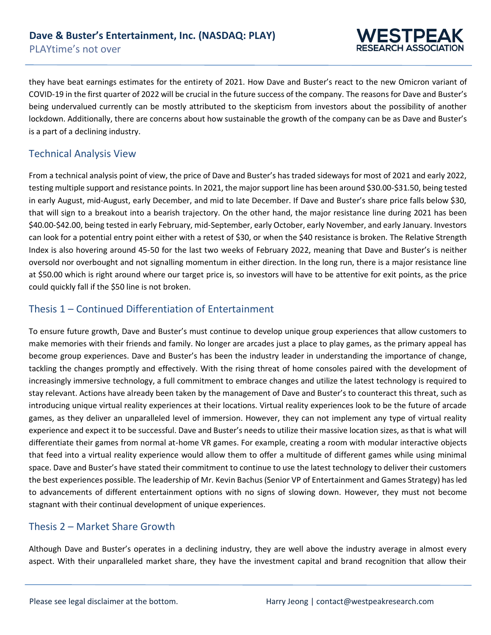

they have beat earnings estimates for the entirety of 2021. How Dave and Buster's react to the new Omicron variant of COVID-19 in the first quarter of 2022 will be crucial in the future success of the company. The reasons for Dave and Buster's being undervalued currently can be mostly attributed to the skepticism from investors about the possibility of another lockdown. Additionally, there are concerns about how sustainable the growth of the company can be as Dave and Buster's is a part of a declining industry.

### Technical Analysis View

From a technical analysis point of view, the price of Dave and Buster's has traded sideways for most of 2021 and early 2022, testing multiple support and resistance points. In 2021, the major support line has been around \$30.00-\$31.50, being tested in early August, mid-August, early December, and mid to late December. If Dave and Buster's share price falls below \$30, that will sign to a breakout into a bearish trajectory. On the other hand, the major resistance line during 2021 has been \$40.00-\$42.00, being tested in early February, mid-September, early October, early November, and early January. Investors can look for a potential entry point either with a retest of \$30, or when the \$40 resistance is broken. The Relative Strength Index is also hovering around 45-50 for the last two weeks of February 2022, meaning that Dave and Buster's is neither oversold nor overbought and not signalling momentum in either direction. In the long run, there is a major resistance line at \$50.00 which is right around where our target price is, so investors will have to be attentive for exit points, as the price could quickly fall if the \$50 line is not broken.

### Thesis 1 – Continued Differentiation of Entertainment

To ensure future growth, Dave and Buster's must continue to develop unique group experiences that allow customers to make memories with their friends and family. No longer are arcades just a place to play games, as the primary appeal has become group experiences. Dave and Buster's has been the industry leader in understanding the importance of change, tackling the changes promptly and effectively. With the rising threat of home consoles paired with the development of increasingly immersive technology, a full commitment to embrace changes and utilize the latest technology is required to stay relevant. Actions have already been taken by the management of Dave and Buster's to counteract this threat, such as introducing unique virtual reality experiences at their locations. Virtual reality experiences look to be the future of arcade games, as they deliver an unparalleled level of immersion. However, they can not implement any type of virtual reality experience and expect it to be successful. Dave and Buster's needs to utilize their massive location sizes, as that is what will differentiate their games from normal at-home VR games. For example, creating a room with modular interactive objects that feed into a virtual reality experience would allow them to offer a multitude of different games while using minimal space. Dave and Buster's have stated their commitment to continue to use the latest technology to deliver their customers the best experiences possible. The leadership of Mr. Kevin Bachus (Senior VP of Entertainment and Games Strategy) has led to advancements of different entertainment options with no signs of slowing down. However, they must not become stagnant with their continual development of unique experiences.

### Thesis 2 – Market Share Growth

Although Dave and Buster's operates in a declining industry, they are well above the industry average in almost every aspect. With their unparalleled market share, they have the investment capital and brand recognition that allow their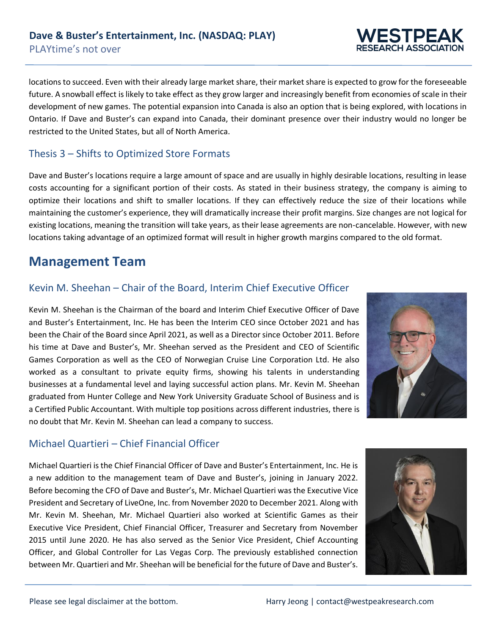locations to succeed. Even with their already large market share, their market share is expected to grow for the foreseeable future. A snowball effect is likely to take effect as they grow larger and increasingly benefit from economies of scale in their development of new games. The potential expansion into Canada is also an option that is being explored, with locations in Ontario. If Dave and Buster's can expand into Canada, their dominant presence over their industry would no longer be restricted to the United States, but all of North America.

### Thesis 3 – Shifts to Optimized Store Formats

Dave and Buster's locations require a large amount of space and are usually in highly desirable locations, resulting in lease costs accounting for a significant portion of their costs. As stated in their business strategy, the company is aiming to optimize their locations and shift to smaller locations. If they can effectively reduce the size of their locations while maintaining the customer's experience, they will dramatically increase their profit margins. Size changes are not logical for existing locations, meaning the transition will take years, as their lease agreements are non-cancelable. However, with new locations taking advantage of an optimized format will result in higher growth margins compared to the old format.

## **Management Team**

## Kevin M. Sheehan – Chair of the Board, Interim Chief Executive Officer

Kevin M. Sheehan is the Chairman of the board and Interim Chief Executive Officer of Dave and Buster's Entertainment, Inc. He has been the Interim CEO since October 2021 and has been the Chair of the Board since April 2021, as well as a Director since October 2011. Before his time at Dave and Buster's, Mr. Sheehan served as the President and CEO of Scientific Games Corporation as well as the CEO of Norwegian Cruise Line Corporation Ltd. He also worked as a consultant to private equity firms, showing his talents in understanding businesses at a fundamental level and laying successful action plans. Mr. Kevin M. Sheehan graduated from Hunter College and New York University Graduate School of Business and is a Certified Public Accountant. With multiple top positions across different industries, there is no doubt that Mr. Kevin M. Sheehan can lead a company to success.



Michael Quartieri is the Chief Financial Officer of Dave and Buster's Entertainment, Inc. He is a new addition to the management team of Dave and Buster's, joining in January 2022. Before becoming the CFO of Dave and Buster's, Mr. Michael Quartieri was the Executive Vice President and Secretary of LiveOne, Inc. from November 2020 to December 2021. Along with Mr. Kevin M. Sheehan, Mr. Michael Quartieri also worked at Scientific Games as their Executive Vice President, Chief Financial Officer, Treasurer and Secretary from November 2015 until June 2020. He has also served as the Senior Vice President, Chief Accounting Officer, and Global Controller for Las Vegas Corp. The previously established connection between Mr. Quartieri and Mr. Sheehan will be beneficial for the future of Dave and Buster's.







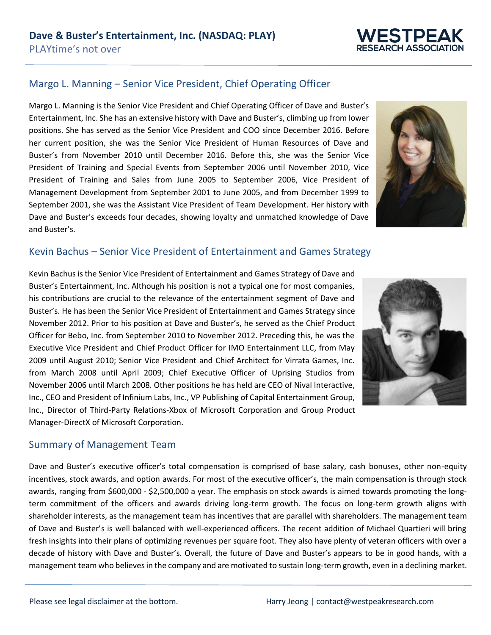## Margo L. Manning – Senior Vice President, Chief Operating Officer

Margo L. Manning is the Senior Vice President and Chief Operating Officer of Dave and Buster's Entertainment, Inc. She has an extensive history with Dave and Buster's, climbing up from lower positions. She has served as the Senior Vice President and COO since December 2016. Before her current position, she was the Senior Vice President of Human Resources of Dave and Buster's from November 2010 until December 2016. Before this, she was the Senior Vice President of Training and Special Events from September 2006 until November 2010, Vice President of Training and Sales from June 2005 to September 2006, Vice President of Management Development from September 2001 to June 2005, and from December 1999 to September 2001, she was the Assistant Vice President of Team Development. Her history with Dave and Buster's exceeds four decades, showing loyalty and unmatched knowledge of Dave and Buster's.

#### Kevin Bachus – Senior Vice President of Entertainment and Games Strategy

Kevin Bachus is the Senior Vice President of Entertainment and Games Strategy of Dave and Buster's Entertainment, Inc. Although his position is not a typical one for most companies, his contributions are crucial to the relevance of the entertainment segment of Dave and Buster's. He has been the Senior Vice President of Entertainment and Games Strategy since November 2012. Prior to his position at Dave and Buster's, he served as the Chief Product Officer for Bebo, Inc. from September 2010 to November 2012. Preceding this, he was the Executive Vice President and Chief Product Officer for IMO Entertainment LLC, from May 2009 until August 2010; Senior Vice President and Chief Architect for Virrata Games, Inc. from March 2008 until April 2009; Chief Executive Officer of Uprising Studios from November 2006 until March 2008. Other positions he has held are CEO of Nival Interactive, Inc., CEO and President of Infinium Labs, Inc., VP Publishing of Capital Entertainment Group, Inc., Director of Third-Party Relations-Xbox of Microsoft Corporation and Group Product Manager-DirectX of Microsoft Corporation.

#### Summary of Management Team

Dave and Buster's executive officer's total compensation is comprised of base salary, cash bonuses, other non-equity incentives, stock awards, and option awards. For most of the executive officer's, the main compensation is through stock awards, ranging from \$600,000 - \$2,500,000 a year. The emphasis on stock awards is aimed towards promoting the longterm commitment of the officers and awards driving long-term growth. The focus on long-term growth aligns with shareholder interests, as the management team has incentives that are parallel with shareholders. The management team of Dave and Buster's is well balanced with well-experienced officers. The recent addition of Michael Quartieri will bring fresh insights into their plans of optimizing revenues per square foot. They also have plenty of veteran officers with over a decade of history with Dave and Buster's. Overall, the future of Dave and Buster's appears to be in good hands, with a management team who believes in the company and are motivated to sustain long-term growth, even in a declining market.





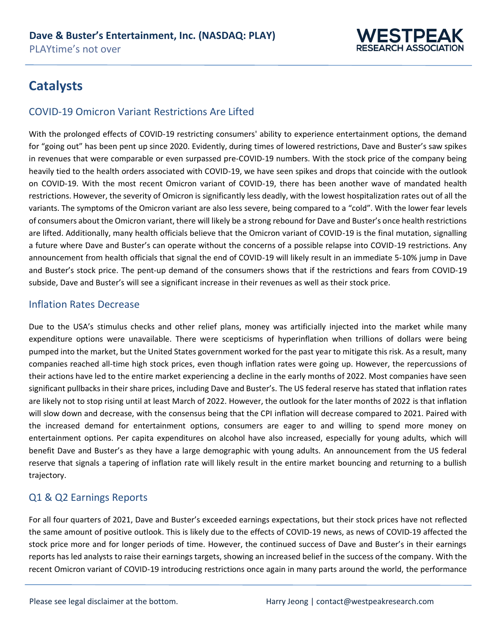

## **Catalysts**

### COVID-19 Omicron Variant Restrictions Are Lifted

With the prolonged effects of COVID-19 restricting consumers' ability to experience entertainment options, the demand for "going out" has been pent up since 2020. Evidently, during times of lowered restrictions, Dave and Buster's saw spikes in revenues that were comparable or even surpassed pre-COVID-19 numbers. With the stock price of the company being heavily tied to the health orders associated with COVID-19, we have seen spikes and drops that coincide with the outlook on COVID-19. With the most recent Omicron variant of COVID-19, there has been another wave of mandated health restrictions. However, the severity of Omicron is significantly less deadly, with the lowest hospitalization rates out of all the variants. The symptoms of the Omicron variant are also less severe, being compared to a "cold". With the lower fear levels of consumers about the Omicron variant, there will likely be a strong rebound for Dave and Buster's once health restrictions are lifted. Additionally, many health officials believe that the Omicron variant of COVID-19 is the final mutation, signalling a future where Dave and Buster's can operate without the concerns of a possible relapse into COVID-19 restrictions. Any announcement from health officials that signal the end of COVID-19 will likely result in an immediate 5-10% jump in Dave and Buster's stock price. The pent-up demand of the consumers shows that if the restrictions and fears from COVID-19 subside, Dave and Buster's will see a significant increase in their revenues as well as their stock price.

### Inflation Rates Decrease

Due to the USA's stimulus checks and other relief plans, money was artificially injected into the market while many expenditure options were unavailable. There were scepticisms of hyperinflation when trillions of dollars were being pumped into the market, but the United States government worked for the past year to mitigate this risk. As a result, many companies reached all-time high stock prices, even though inflation rates were going up. However, the repercussions of their actions have led to the entire market experiencing a decline in the early months of 2022. Most companies have seen significant pullbacks in their share prices, including Dave and Buster's. The US federal reserve has stated that inflation rates are likely not to stop rising until at least March of 2022. However, the outlook for the later months of 2022 is that inflation will slow down and decrease, with the consensus being that the CPI inflation will decrease compared to 2021. Paired with the increased demand for entertainment options, consumers are eager to and willing to spend more money on entertainment options. Per capita expenditures on alcohol have also increased, especially for young adults, which will benefit Dave and Buster's as they have a large demographic with young adults. An announcement from the US federal reserve that signals a tapering of inflation rate will likely result in the entire market bouncing and returning to a bullish trajectory.

## Q1 & Q2 Earnings Reports

For all four quarters of 2021, Dave and Buster's exceeded earnings expectations, but their stock prices have not reflected the same amount of positive outlook. This is likely due to the effects of COVID-19 news, as news of COVID-19 affected the stock price more and for longer periods of time. However, the continued success of Dave and Buster's in their earnings reports has led analysts to raise their earnings targets, showing an increased belief in the success of the company. With the recent Omicron variant of COVID-19 introducing restrictions once again in many parts around the world, the performance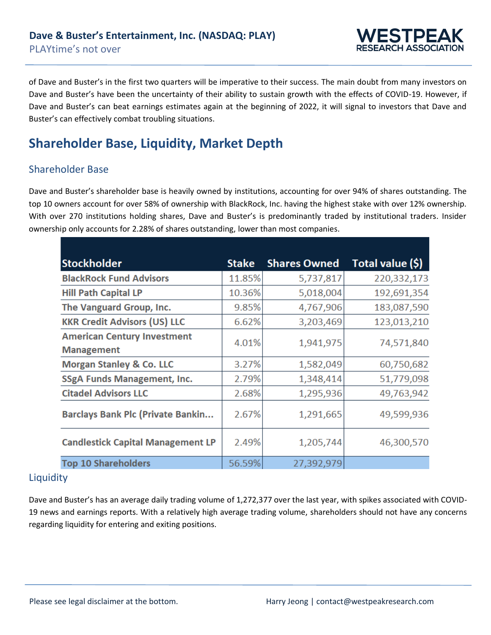

of Dave and Buster's in the first two quarters will be imperative to their success. The main doubt from many investors on Dave and Buster's have been the uncertainty of their ability to sustain growth with the effects of COVID-19. However, if Dave and Buster's can beat earnings estimates again at the beginning of 2022, it will signal to investors that Dave and Buster's can effectively combat troubling situations.

## **Shareholder Base, Liquidity, Market Depth**

### Shareholder Base

Dave and Buster's shareholder base is heavily owned by institutions, accounting for over 94% of shares outstanding. The top 10 owners account for over 58% of ownership with BlackRock, Inc. having the highest stake with over 12% ownership. With over 270 institutions holding shares, Dave and Buster's is predominantly traded by institutional traders. Insider ownership only accounts for 2.28% of shares outstanding, lower than most companies.

| <b>Stockholder</b>                       | <b>Stake</b> | <b>Shares Owned</b> | Total value (\$) |
|------------------------------------------|--------------|---------------------|------------------|
| <b>BlackRock Fund Advisors</b>           | 11.85%       | 5,737,817           | 220,332,173      |
| <b>Hill Path Capital LP</b>              | 10.36%       | 5,018,004           | 192,691,354      |
| The Vanguard Group, Inc.                 | 9.85%        | 4,767,906           | 183,087,590      |
| <b>KKR Credit Advisors (US) LLC</b>      | 6.62%        | 3,203,469           | 123,013,210      |
| <b>American Century Investment</b>       | 4.01%        | 1,941,975           | 74,571,840       |
| <b>Management</b>                        |              |                     |                  |
| <b>Morgan Stanley &amp; Co. LLC</b>      | 3.27%        | 1,582,049           | 60,750,682       |
| <b>SSgA Funds Management, Inc.</b>       | 2.79%        | 1,348,414           | 51,779,098       |
| <b>Citadel Advisors LLC</b>              | 2.68%        | 1,295,936           | 49,763,942       |
| <b>Barclays Bank Plc (Private Bankin</b> | 2.67%        | 1,291,665           | 49,599,936       |
| <b>Candlestick Capital Management LP</b> | 2.49%        | 1,205,744           | 46,300,570       |
| <b>Top 10 Shareholders</b>               | 56.59%       | 27,392,979          |                  |

### Liquidity

Dave and Buster's has an average daily trading volume of 1,272,377 over the last year, with spikes associated with COVID-19 news and earnings reports. With a relatively high average trading volume, shareholders should not have any concerns regarding liquidity for entering and exiting positions.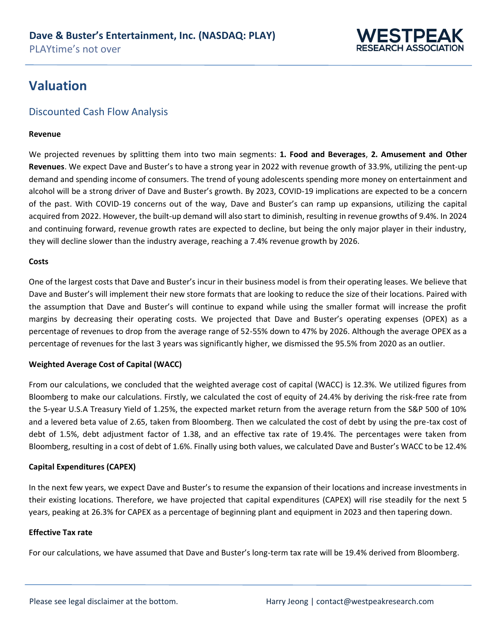

## **Valuation**

### Discounted Cash Flow Analysis

#### **Revenue**

We projected revenues by splitting them into two main segments: **1. Food and Beverages**, **2. Amusement and Other Revenues**. We expect Dave and Buster's to have a strong year in 2022 with revenue growth of 33.9%, utilizing the pent-up demand and spending income of consumers. The trend of young adolescents spending more money on entertainment and alcohol will be a strong driver of Dave and Buster's growth. By 2023, COVID-19 implications are expected to be a concern of the past. With COVID-19 concerns out of the way, Dave and Buster's can ramp up expansions, utilizing the capital acquired from 2022. However, the built-up demand will also start to diminish, resulting in revenue growths of 9.4%. In 2024 and continuing forward, revenue growth rates are expected to decline, but being the only major player in their industry, they will decline slower than the industry average, reaching a 7.4% revenue growth by 2026.

#### **Costs**

One of the largest costs that Dave and Buster's incur in their business model is from their operating leases. We believe that Dave and Buster's will implement their new store formats that are looking to reduce the size of their locations. Paired with the assumption that Dave and Buster's will continue to expand while using the smaller format will increase the profit margins by decreasing their operating costs. We projected that Dave and Buster's operating expenses (OPEX) as a percentage of revenues to drop from the average range of 52-55% down to 47% by 2026. Although the average OPEX as a percentage of revenues for the last 3 years was significantly higher, we dismissed the 95.5% from 2020 as an outlier.

#### **Weighted Average Cost of Capital (WACC)**

From our calculations, we concluded that the weighted average cost of capital (WACC) is 12.3%. We utilized figures from Bloomberg to make our calculations. Firstly, we calculated the cost of equity of 24.4% by deriving the risk-free rate from the 5-year U.S.A Treasury Yield of 1.25%, the expected market return from the average return from the S&P 500 of 10% and a levered beta value of 2.65, taken from Bloomberg. Then we calculated the cost of debt by using the pre-tax cost of debt of 1.5%, debt adjustment factor of 1.38, and an effective tax rate of 19.4%. The percentages were taken from Bloomberg, resulting in a cost of debt of 1.6%. Finally using both values, we calculated Dave and Buster's WACC to be 12.4%

#### **Capital Expenditures (CAPEX)**

In the next few years, we expect Dave and Buster's to resume the expansion of their locations and increase investments in their existing locations. Therefore, we have projected that capital expenditures (CAPEX) will rise steadily for the next 5 years, peaking at 26.3% for CAPEX as a percentage of beginning plant and equipment in 2023 and then tapering down.

#### **Effective Tax rate**

For our calculations, we have assumed that Dave and Buster's long-term tax rate will be 19.4% derived from Bloomberg.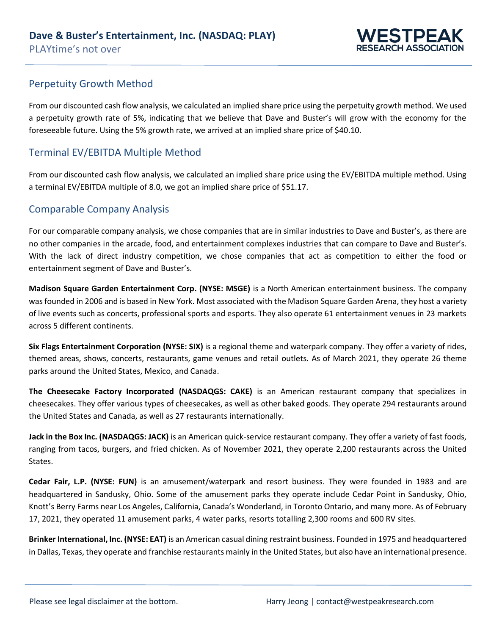

### Perpetuity Growth Method

From our discounted cash flow analysis, we calculated an implied share price using the perpetuity growth method. We used a perpetuity growth rate of 5%, indicating that we believe that Dave and Buster's will grow with the economy for the foreseeable future. Using the 5% growth rate, we arrived at an implied share price of \$40.10.

### Terminal EV/EBITDA Multiple Method

From our discounted cash flow analysis, we calculated an implied share price using the EV/EBITDA multiple method. Using a terminal EV/EBITDA multiple of 8.0, we got an implied share price of \$51.17.

### Comparable Company Analysis

For our comparable company analysis, we chose companies that are in similar industries to Dave and Buster's, as there are no other companies in the arcade, food, and entertainment complexes industries that can compare to Dave and Buster's. With the lack of direct industry competition, we chose companies that act as competition to either the food or entertainment segment of Dave and Buster's.

**Madison Square Garden Entertainment Corp. (NYSE: MSGE)** is a North American entertainment business. The company was founded in 2006 and is based in New York. Most associated with the Madison Square Garden Arena, they host a variety of live events such as concerts, professional sports and esports. They also operate 61 entertainment venues in 23 markets across 5 different continents.

**Six Flags Entertainment Corporation (NYSE: SIX)** is a regional theme and waterpark company. They offer a variety of rides, themed areas, shows, concerts, restaurants, game venues and retail outlets. As of March 2021, they operate 26 theme parks around the United States, Mexico, and Canada.

**The Cheesecake Factory Incorporated (NASDAQGS: CAKE)** is an American restaurant company that specializes in cheesecakes. They offer various types of cheesecakes, as well as other baked goods. They operate 294 restaurants around the United States and Canada, as well as 27 restaurants internationally.

**Jack in the Box Inc. (NASDAQGS: JACK)** is an American quick-service restaurant company. They offer a variety of fast foods, ranging from tacos, burgers, and fried chicken. As of November 2021, they operate 2,200 restaurants across the United States.

**Cedar Fair, L.P. (NYSE: FUN)** is an amusement/waterpark and resort business. They were founded in 1983 and are headquartered in Sandusky, Ohio. Some of the amusement parks they operate include Cedar Point in Sandusky, Ohio, Knott's Berry Farms near Los Angeles, California, Canada's Wonderland, in Toronto Ontario, and many more. As of February 17, 2021, they operated 11 amusement parks, 4 water parks, resorts totalling 2,300 rooms and 600 RV sites.

**Brinker International, Inc. (NYSE: EAT)** is an American casual dining restraint business. Founded in 1975 and headquartered in Dallas, Texas, they operate and franchise restaurants mainly in the United States, but also have an international presence.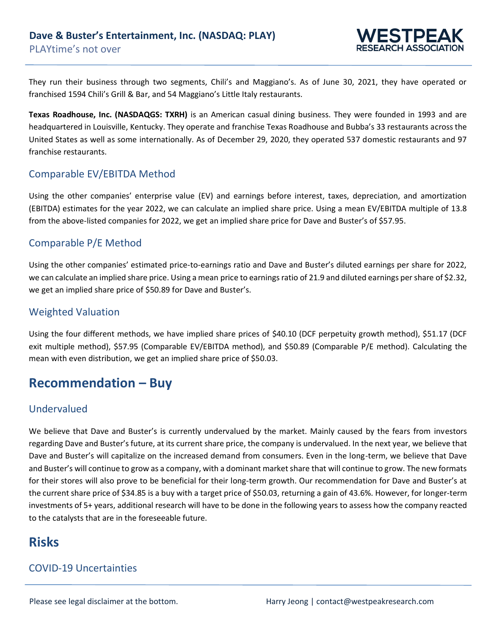

They run their business through two segments, Chili's and Maggiano's. As of June 30, 2021, they have operated or franchised 1594 Chili's Grill & Bar, and 54 Maggiano's Little Italy restaurants.

**Texas Roadhouse, Inc. (NASDAQGS: TXRH)** is an American casual dining business. They were founded in 1993 and are headquartered in Louisville, Kentucky. They operate and franchise Texas Roadhouse and Bubba's 33 restaurants across the United States as well as some internationally. As of December 29, 2020, they operated 537 domestic restaurants and 97 franchise restaurants.

### Comparable EV/EBITDA Method

Using the other companies' enterprise value (EV) and earnings before interest, taxes, depreciation, and amortization (EBITDA) estimates for the year 2022, we can calculate an implied share price. Using a mean EV/EBITDA multiple of 13.8 from the above-listed companies for 2022, we get an implied share price for Dave and Buster's of \$57.95.

#### Comparable P/E Method

Using the other companies' estimated price-to-earnings ratio and Dave and Buster's diluted earnings per share for 2022, we can calculate an implied share price. Using a mean price to earnings ratio of 21.9 and diluted earnings per share of \$2.32, we get an implied share price of \$50.89 for Dave and Buster's.

#### Weighted Valuation

Using the four different methods, we have implied share prices of \$40.10 (DCF perpetuity growth method), \$51.17 (DCF exit multiple method), \$57.95 (Comparable EV/EBITDA method), and \$50.89 (Comparable P/E method). Calculating the mean with even distribution, we get an implied share price of \$50.03.

## **Recommendation – Buy**

### Undervalued

We believe that Dave and Buster's is currently undervalued by the market. Mainly caused by the fears from investors regarding Dave and Buster's future, at its current share price, the company is undervalued. In the next year, we believe that Dave and Buster's will capitalize on the increased demand from consumers. Even in the long-term, we believe that Dave and Buster's will continue to grow as a company, with a dominant market share that will continue to grow. The new formats for their stores will also prove to be beneficial for their long-term growth. Our recommendation for Dave and Buster's at the current share price of \$34.85 is a buy with a target price of \$50.03, returning a gain of 43.6%. However, for longer-term investments of 5+ years, additional research will have to be done in the following years to assess how the company reacted to the catalysts that are in the foreseeable future.

## **Risks**

## COVID-19 Uncertainties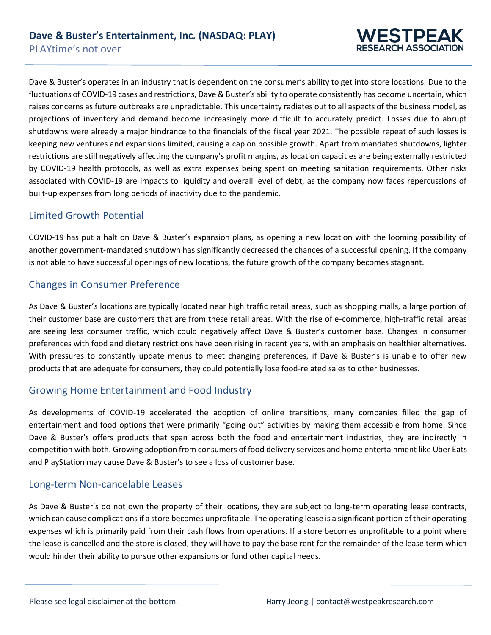

Dave & Buster's operates in an industry that is dependent on the consumer's ability to get into store locations. Due to the fluctuations of COVID-19 cases and restrictions, Dave & Buster's ability to operate consistently has become uncertain, which raises concerns as future outbreaks are unpredictable. This uncertainty radiates out to all aspects of the business model, as projections of inventory and demand become increasingly more difficult to accurately predict. Losses due to abrupt shutdowns were already a major hindrance to the financials of the fiscal year 2021. The possible repeat of such losses is keeping new ventures and expansions limited, causing a cap on possible growth. Apart from mandated shutdowns, lighter restrictions are still negatively affecting the company's profit margins, as location capacities are being externally restricted by COVID-19 health protocols, as well as extra expenses being spent on meeting sanitation requirements. Other risks associated with COVID-19 are impacts to liquidity and overall level of debt, as the company now faces repercussions of built-up expenses from long periods of inactivity due to the pandemic.

### Limited Growth Potential

COVID-19 has put a halt on Dave & Buster's expansion plans, as opening a new location with the looming possibility of another government-mandated shutdown has significantly decreased the chances of a successful opening. If the company is not able to have successful openings of new locations, the future growth of the company becomes stagnant.

### Changes in Consumer Preference

As Dave & Buster's locations are typically located near high traffic retail areas, such as shopping malls, a large portion of their customer base are customers that are from these retail areas. With the rise of e-commerce, high-traffic retail areas are seeing less consumer traffic, which could negatively affect Dave & Buster's customer base. Changes in consumer preferences with food and dietary restrictions have been rising in recent years, with an emphasis on healthier alternatives. With pressures to constantly update menus to meet changing preferences, if Dave & Buster's is unable to offer new products that are adequate for consumers, they could potentially lose food-related sales to other businesses.

### Growing Home Entertainment and Food Industry

As developments of COVID-19 accelerated the adoption of online transitions, many companies filled the gap of entertainment and food options that were primarily "going out" activities by making them accessible from home. Since Dave & Buster's offers products that span across both the food and entertainment industries, they are indirectly in competition with both. Growing adoption from consumers of food delivery services and home entertainment like Uber Eats and PlayStation may cause Dave & Buster's to see a loss of customer base.

#### Long-term Non-cancelable Leases

As Dave & Buster's do not own the property of their locations, they are subject to long-term operating lease contracts, which can cause complications if a store becomes unprofitable. The operating lease is a significant portion of their operating expenses which is primarily paid from their cash flows from operations. If a store becomes unprofitable to a point where the lease is cancelled and the store is closed, they will have to pay the base rent for the remainder of the lease term which would hinder their ability to pursue other expansions or fund other capital needs.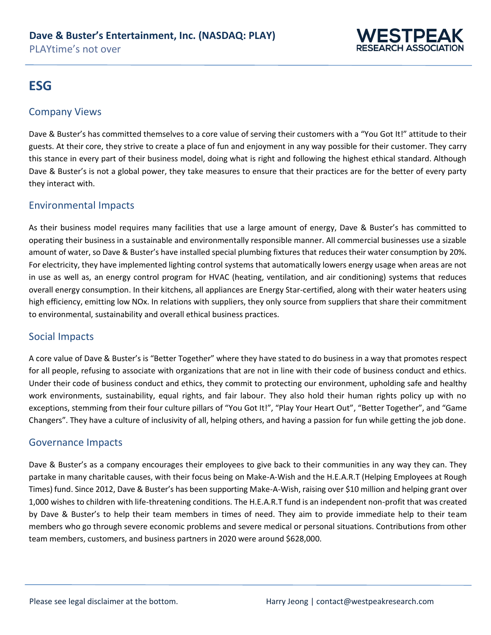

## **ESG**

#### Company Views

Dave & Buster's has committed themselves to a core value of serving their customers with a "You Got It!" attitude to their guests. At their core, they strive to create a place of fun and enjoyment in any way possible for their customer. They carry this stance in every part of their business model, doing what is right and following the highest ethical standard. Although Dave & Buster's is not a global power, they take measures to ensure that their practices are for the better of every party they interact with.

#### Environmental Impacts

As their business model requires many facilities that use a large amount of energy, Dave & Buster's has committed to operating their business in a sustainable and environmentally responsible manner. All commercial businesses use a sizable amount of water, so Dave & Buster's have installed special plumbing fixtures that reduces their water consumption by 20%. For electricity, they have implemented lighting control systems that automatically lowers energy usage when areas are not in use as well as, an energy control program for HVAC (heating, ventilation, and air conditioning) systems that reduces overall energy consumption. In their kitchens, all appliances are Energy Star-certified, along with their water heaters using high efficiency, emitting low NOx. In relations with suppliers, they only source from suppliers that share their commitment to environmental, sustainability and overall ethical business practices.

#### Social Impacts

A core value of Dave & Buster's is "Better Together" where they have stated to do business in a way that promotes respect for all people, refusing to associate with organizations that are not in line with their code of business conduct and ethics. Under their code of business conduct and ethics, they commit to protecting our environment, upholding safe and healthy work environments, sustainability, equal rights, and fair labour. They also hold their human rights policy up with no exceptions, stemming from their four culture pillars of "You Got It!", "Play Your Heart Out", "Better Together", and "Game Changers". They have a culture of inclusivity of all, helping others, and having a passion for fun while getting the job done.

#### Governance Impacts

Dave & Buster's as a company encourages their employees to give back to their communities in any way they can. They partake in many charitable causes, with their focus being on Make-A-Wish and the H.E.A.R.T (Helping Employees at Rough Times) fund. Since 2012, Dave & Buster's has been supporting Make-A-Wish, raising over \$10 million and helping grant over 1,000 wishes to children with life-threatening conditions. The H.E.A.R.T fund is an independent non-profit that was created by Dave & Buster's to help their team members in times of need. They aim to provide immediate help to their team members who go through severe economic problems and severe medical or personal situations. Contributions from other team members, customers, and business partners in 2020 were around \$628,000.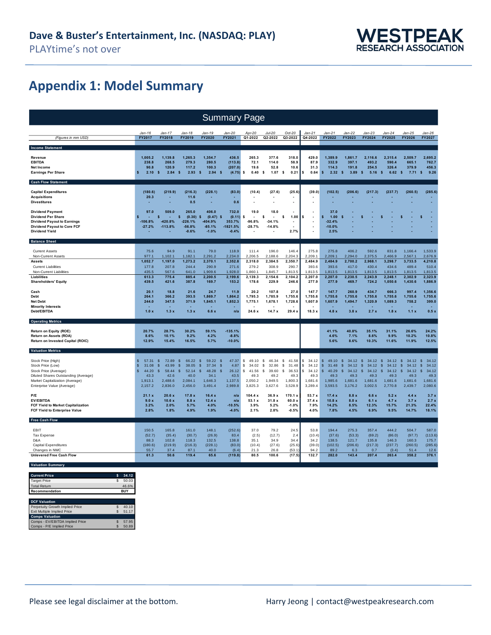

## **Appendix 1: Model Summary**

| <b>Summary Page</b>                                                                                                                                                       |                                                                                                               |                                                                                                          |                                                                        |                                                                                            |                                                                      |                                                                         |                                                                                   |                                                                        |                                                                        |                                                                         |                                                                                             |                                                                                                         |                                                                                   |                                                                                        |                                                                                               |
|---------------------------------------------------------------------------------------------------------------------------------------------------------------------------|---------------------------------------------------------------------------------------------------------------|----------------------------------------------------------------------------------------------------------|------------------------------------------------------------------------|--------------------------------------------------------------------------------------------|----------------------------------------------------------------------|-------------------------------------------------------------------------|-----------------------------------------------------------------------------------|------------------------------------------------------------------------|------------------------------------------------------------------------|-------------------------------------------------------------------------|---------------------------------------------------------------------------------------------|---------------------------------------------------------------------------------------------------------|-----------------------------------------------------------------------------------|----------------------------------------------------------------------------------------|-----------------------------------------------------------------------------------------------|
|                                                                                                                                                                           | $Jan-16$                                                                                                      | Jan-17                                                                                                   | .lan-18                                                                | Jan-19                                                                                     | .lan-20                                                              | Apr-20                                                                  | Jul-20                                                                            | $Oct-20$                                                               | $Jan-21$                                                               | $Jan-21$                                                                | $Jan-22$                                                                                    | $Jan-23$                                                                                                | .lan-24                                                                           | Jan-25                                                                                 | Jan-26                                                                                        |
| (Figures in mm USD)                                                                                                                                                       | FY2017                                                                                                        | FY2018                                                                                                   | FY2019                                                                 | <b>FY2020</b>                                                                              | FY2021                                                               | Q1-2022                                                                 | Q2-2022                                                                           | Q3-2022                                                                | Q4-2022                                                                | FY2022                                                                  | FY2023                                                                                      | FY2024                                                                                                  | FY2025                                                                            | <b>FY2026</b>                                                                          | FY2027                                                                                        |
| <b>Income Statement</b>                                                                                                                                                   |                                                                                                               |                                                                                                          |                                                                        |                                                                                            |                                                                      |                                                                         |                                                                                   |                                                                        |                                                                        |                                                                         |                                                                                             |                                                                                                         |                                                                                   |                                                                                        |                                                                                               |
| Revenue<br><b>EBITDA</b><br><b>Net Income</b><br><b>Earnings Per Share</b>                                                                                                | 1.005.2<br>238.8<br>90.8<br>s<br>2.10                                                                         | 1.139.8<br>268.5<br>120.9<br>$\sqrt{2}$<br>2.84                                                          | 1.265.3<br>279.3<br>117.2<br>$\sim$<br>2.93                            | 1.354.7<br>280.5<br>100.3<br>$\mathbf{s}$<br>2.94                                          | 436.5<br>(113.8)<br>(207.0)<br>$\mathbf{s}$<br>(4.75)                | 265.3<br>72.1<br>19.6<br>0.40<br>-S                                     | 377.6<br>114.0<br>52.8<br>1.07<br>-S                                              | 318.0<br>58.9<br>10.6<br>0.21<br>- s                                   | 429.0<br>87.9<br>31.3<br>\$<br>0.64                                    | 1.389.9<br>332.9<br>114.3<br>\$<br>2.32                                 | 1.861.7<br>397.1<br>191.8<br>$\sim$<br>3.89                                                 | 2.116.6<br>493.2<br>254.5<br>$\sqrt{2}$<br>5.16                                                         | 2.315.4<br>590.4<br>326.4<br>$\mathbf{s}$<br>6.62                                 | 2.509.7<br>665.1<br>379.9<br>$\mathbf{s}$<br>7.71S                                     | 2.695.2<br>762.7<br>456.3<br>9.26                                                             |
| <b>Cash Flow Statement</b>                                                                                                                                                |                                                                                                               |                                                                                                          |                                                                        |                                                                                            |                                                                      |                                                                         |                                                                                   |                                                                        |                                                                        |                                                                         |                                                                                             |                                                                                                         |                                                                                   |                                                                                        |                                                                                               |
| <b>Capital Expenditures</b><br><b>Acquisitions</b><br><b>Divestitures</b>                                                                                                 | (180.6)<br>20.3                                                                                               | (219.9)                                                                                                  | (216.3)<br>11.6<br>0.5                                                 | (228.1)                                                                                    | (83.0)<br>0.6                                                        | (10.4)                                                                  | (27.6)                                                                            | (25.6)<br>ä,                                                           | (39.0)                                                                 | (102.5)                                                                 | (206.6)                                                                                     | (217.3)                                                                                                 | (237.7)                                                                           | (260.5)                                                                                | (285.6)                                                                                       |
| <b>Dividend Payment</b><br><b>Dividend Per Share</b><br><b>Dividend Payout to Earnings</b><br><b>Dividend Payout to Core FCF</b><br><b>Dividend Yield</b>                 | 97.0<br>$-106.8%$<br>$-27.2%$                                                                                 | 509.0<br>\$<br>-420.8%<br>$-113.8%$                                                                      | 265.0<br>s<br>(0.30)<br>$-226.1%$<br>$-56.8%$<br>$-0.6%$               | 406.0<br>$\mathbf{s}$<br>(0.47)<br>-404.9%<br>$-85.1%$<br>$-1.0%$                          | 732.0<br>(0.11)<br>S<br>353.7%<br>$-1821.5%$<br>$-0.4%$              | 19.0<br>-S<br>$-96.8%$<br>$-28.7%$                                      | 18.0<br>\$<br>$-34.1%$<br>$-14.8%$                                                | 1.00<br>2.7%                                                           | s<br>ä,                                                                | 37.0<br>Ś<br>1.00<br>$-32.4%$<br>$-10.0%$<br>2.5%                       | S                                                                                           |                                                                                                         |                                                                                   |                                                                                        |                                                                                               |
| <b>Balance Sheet</b>                                                                                                                                                      |                                                                                                               |                                                                                                          |                                                                        |                                                                                            |                                                                      |                                                                         |                                                                                   |                                                                        |                                                                        |                                                                         |                                                                                             |                                                                                                         |                                                                                   |                                                                                        |                                                                                               |
| <b>Current Assets</b><br>Non-Current Assets                                                                                                                               | 75.6<br>977.1                                                                                                 | 94.9<br>1,102.1                                                                                          | 91.1<br>1,182.1                                                        | 79.0<br>2,291.2                                                                            | 118.9<br>2,234.0                                                     | 111.4<br>2,206.5                                                        | 196.0<br>2,188.6                                                                  | 146.4<br>2,204.3                                                       | 275.8<br>2.209.1                                                       | 275.8<br>2,209.1                                                        | 406.2<br>2.294.0                                                                            | 592.6<br>2,375.5                                                                                        | 831.8<br>2,466.9                                                                  | 1,166.4<br>2,567.1                                                                     | 1,533.9<br>2,676.9                                                                            |
| <b>Assets</b><br><b>Current Liabilities</b><br>Non-Current Liabilities                                                                                                    | 1,052.7<br>177.8<br>435.5                                                                                     | 1,197.0<br>207.8<br>567.6                                                                                | 1,273.2<br>244.4<br>641.0                                              | 2,370.1<br>290.9<br>1,909.6                                                                | 2,352.8<br>271.6<br>1,928.0                                          | 2,318.0<br>279.2<br>1.860.1                                             | 2,384.5<br>308.9<br>1,845.7                                                       | 2,350.7<br>290.7<br>1,813.5                                            | 2,484.9<br>393.6<br>1.813.5                                            | 2,484.9<br>393.6<br>1,813.5                                             | 2,700.2<br>417.0<br>1,813.5                                                                 | 2,968.1<br>430.4<br>1,813.5                                                                             | 3,298.7<br>434.6<br>1,813.5                                                       | 3,733.5<br>489.4<br>1,813.5                                                            | 4,210.8<br>510.4<br>1,813.5                                                                   |
| Liabilities<br><b>Shareholders' Equity</b>                                                                                                                                | 613.3<br>439.5                                                                                                | 775.4<br>421.6                                                                                           | 885.4<br>387.8                                                         | 2.200.5<br>169.7                                                                           | 2,199.6<br>153.2                                                     | 2,139.3<br>178.6                                                        | 2,154.6<br>229.9                                                                  | 2,104.2<br>246.6                                                       | 2,207.0<br>277.9                                                       | 2.207.0<br>277.9                                                        | 2.230.5<br>469.7                                                                            | 2.243.9<br>724.2                                                                                        | 2.248.1<br>1,050.6                                                                | 2.302.9<br>1,430.6                                                                     | 2.323.9<br>1,886.9                                                                            |
| Cash<br>Debt<br><b>Net Debt</b><br><b>Minority Interests</b><br>Debt/EBITDA                                                                                               | 20.1<br>264.1<br>244.0<br>1.0x                                                                                | 18.8<br>366.2<br>347.5<br>1.3x                                                                           | 21.6<br>393.5<br>371.9<br>1.3x                                         | 24.7<br>1,869.7<br>1,845.1<br>6.6x                                                         | 11.9<br>1,864.2<br>1,852.3<br>n/a                                    | 20.2<br>1,795.3<br>1,775.1<br>24.6x                                     | 107.8<br>1,785.9<br>1,678.1<br>14.7x                                              | 27.0<br>1,755.6<br>1,728.6<br>29.4:                                    | 147.7<br>1,755.6<br>1,607.9<br>18.3x                                   | 147.7<br>1,755.6<br>1,607.9<br>4.8x                                     | 260.9<br>1,755.6<br>1,494.7<br>3.8x                                                         | 434.7<br>1,755.6<br>1,320.9<br>2.7x                                                                     | 666.3<br>1,755.6<br>1,089.3<br>1.8x                                               | 997.4<br>1,755.6<br>758.2<br>1.1 x                                                     | 1,356.6<br>1,755.6<br>399.0<br>0.5x                                                           |
| <b>Operating Metrics</b>                                                                                                                                                  |                                                                                                               |                                                                                                          |                                                                        |                                                                                            |                                                                      |                                                                         |                                                                                   |                                                                        |                                                                        |                                                                         |                                                                                             |                                                                                                         |                                                                                   |                                                                                        |                                                                                               |
| Return on Equity (ROE)<br>Return on Assets (ROA)<br>Return on Invested Capital (ROIC)                                                                                     | 20.7%<br>8.6%<br>12.9%                                                                                        | 28.7%<br>10.1%<br>15.4%                                                                                  | 30.2%<br>9.2%<br>16.5%                                                 | 59.1%<br>4.2%<br>5.7%                                                                      | $-135.1%$<br>$-8.8%$<br>$-10.0%$                                     |                                                                         |                                                                                   |                                                                        |                                                                        | 41.1%<br>4.6%<br>5.6%                                                   | 40.8%<br>7.1%<br>8.6%                                                                       | 35.1%<br>8.6%<br>10.3%                                                                                  | 31.1%<br>9.9%<br>11.6%                                                            | 26.6%<br>10.2%<br>11.9%                                                                | 24.2%<br>10.8%<br>12.5%                                                                       |
| <b>Valuation Metrics</b>                                                                                                                                                  |                                                                                                               |                                                                                                          |                                                                        |                                                                                            |                                                                      |                                                                         |                                                                                   |                                                                        |                                                                        |                                                                         |                                                                                             |                                                                                                         |                                                                                   |                                                                                        |                                                                                               |
| Stock Price (High)<br>Stock Price (Low)<br>Stock Price (Average)<br>Diluted Shares Outstanding (Average)<br>Market Capitalization (Average)<br>Enterprise Value (Average) | <sub>\$</sub><br>57.31<br>$\mathbf{\hat{s}}$<br>31.08<br>$\mathsf{\$}$<br>44.20<br>43.3<br>1,913.1<br>2,157.2 | 72.89<br><sub>\$</sub><br>$\mathsf{\$}$<br>43.99<br>58.44<br><sub>\$</sub><br>42.6<br>2,488.6<br>2,836.0 | 66.22<br>్వ<br>38.05<br>-S<br>52.14<br>s<br>40.0<br>2,084.1<br>2,456.0 | $\mathsf{s}$<br>59.22<br>$\mathsf{s}$<br>37.34<br>48.28<br>S<br>34.1<br>1,646.3<br>3,491.4 | 47.37<br>-S<br>4.87<br>S<br>26.12<br>S<br>43.5<br>1,137.5<br>2,989.8 | \$<br>49.10<br>\$<br>34.02<br>41.56<br>-S<br>49.3<br>2,050.2<br>3,825.3 | $\mathbb{S}$<br>46.34<br>\$<br>32.86<br>39.60<br>s.<br>49.2<br>1,949.5<br>3,627.6 | \$<br>41.58<br>31.48<br>s<br>36.53<br>S.<br>49.3<br>1,800.3<br>3,528.9 | \$<br>34.12<br>s<br>34.12<br>s.<br>34.12<br>49.3<br>1,681.6<br>3,289.4 | \$<br>49.10<br>\$<br>31.48<br>\$<br>40.29<br>49.3<br>1,985.6<br>3,593.5 | $\mathsf{s}$<br>34.12<br>$\mathsf{s}$<br>34.12<br>34.12<br>\$<br>49.3<br>1,681.6<br>3,176.2 | $\mathsf{s}$<br>34.12<br>$\mathsf{\$}$<br>34.12<br>34.12<br><sub>\$</sub><br>49.3<br>1,681.6<br>3,002.5 | $\mathsf{s}$<br>34.12<br>\$<br>34.12<br>34.12<br>-S<br>49.3<br>1,681.6<br>2,770.8 | 34.12<br>$\mathsf{s}$<br>34.12<br><b>s</b><br>34.12<br>s<br>49.3<br>1,681.6<br>2,439.7 | 34.12<br>- \$<br>34.12<br>$\mathbf{s}$<br>34.12<br>$\mathbf{s}$<br>49.3<br>1,681.6<br>2,080.6 |
| P/E<br><b>EV/EBITDA</b><br>FCF Yield to Market Capitalization<br>FCF Yield to Enterprise Value                                                                            | 21.1 x<br>9.0 x<br>3.2%<br>2.8%                                                                               | 20.6x<br>10.6x<br>2.0%<br>1.8%                                                                           | 17.8x<br>8.8x<br>5.7%<br>4.9%                                          | 16.4x<br>12.4x<br>4.0%<br>1.9%                                                             | n/a<br>n/a<br>$-10.5%$<br>$-4.0%$                                    | 104.4 x<br>53.1 x<br>3.9%<br>2.1%                                       | 36.9x<br>31.8x<br>5.2%<br>2.8%                                                    | 170.1 x<br>60.0 x<br>$-1.0%$<br>$-0.5%$                                | 53.7 x<br>37.4x<br>7.9%<br>4.0%                                        | 17.4x<br>10.8x<br>14.2%<br>7.8%                                         | 8.8x<br>8.0 x<br>8.5%<br>4.5%                                                               | 6.6x<br>6.1 x<br>12.3%<br>6.9%                                                                          | 5.2x<br>4.7x<br>15.7%<br>9.5%                                                     | 4.4x<br>3.7x<br>21.3%<br>14.7%                                                         | 3.7x<br>2.7x<br>22.4%<br>18.1%                                                                |
| <b>Free Cash Flow</b>                                                                                                                                                     |                                                                                                               |                                                                                                          |                                                                        |                                                                                            |                                                                      |                                                                         |                                                                                   |                                                                        |                                                                        |                                                                         |                                                                                             |                                                                                                         |                                                                                   |                                                                                        |                                                                                               |
| EBIT<br><b>Tax Expense</b><br>D&A<br>Capital Expenditures<br>Changes in NWC                                                                                               | 150.5<br>(52.7)<br>88.3<br>(180.6)<br>55.7                                                                    | 165.8<br>(35.4)<br>102.8<br>(219.9)<br>37.4                                                              | 161.0<br>(30.7)<br>118.3<br>(216.3)<br>87.1                            | 148.1<br>(26.9)<br>132.5<br>(228.1)<br>40.0                                                | (252.6)<br>83.4<br>138.8<br>(83.0)<br>(6.4)                          | 37.0<br>(2.5)<br>35.1<br>(10.4)<br>21.3                                 | 79.2<br>(12.7)<br>34.9<br>(27.6)<br>26.8                                          | 24.5<br>2.4<br>34.4<br>(25.6)<br>(53.1)                                | 53.8<br>(10.4)<br>34.2<br>(39.0)<br>94.2                               | 194.4<br>(37.6)<br>138.5<br>(102.5)<br>89.2                             | 275.3<br>(53.3)<br>121.7<br>(206.6)<br>6.3                                                  | 357.4<br>(69.2)<br>135.8<br>(217.3)<br>0.7                                                              | 444.2<br>(86.0)<br>146.3<br>(237.7)<br>(3.4)                                      | 504.7<br>(97.7)<br>160.3<br>(260.5)<br>51.4                                            | 587.0<br>(113.6)<br>175.7<br>(285.6)<br>12.6                                                  |
| <b>Unlevered Free Cash Flow</b>                                                                                                                                           | 61.3                                                                                                          | 50.6                                                                                                     | 119.4                                                                  | 65.6                                                                                       | (119.8)                                                              | 80.5                                                                    | 100.6                                                                             | (17.5)                                                                 | 132.7                                                                  | 282.0                                                                   | 143.4                                                                                       | 207.4                                                                                                   | 263.4                                                                             | 358.2                                                                                  | 376.1                                                                                         |
| <b>Valuation Summary</b>                                                                                                                                                  |                                                                                                               |                                                                                                          |                                                                        |                                                                                            |                                                                      |                                                                         |                                                                                   |                                                                        |                                                                        |                                                                         |                                                                                             |                                                                                                         |                                                                                   |                                                                                        |                                                                                               |

| <b>Current Price</b>               |                  | 34.12   |  |  |
|------------------------------------|------------------|---------|--|--|
| <b>Target Price</b>                |                  | 50.03   |  |  |
| <b>Total Return</b>                |                  | 46.6%   |  |  |
| Recommendation                     | <b>BUY</b>       |         |  |  |
|                                    |                  |         |  |  |
| <b>DCF Valuation</b>               |                  |         |  |  |
| Perpetuity Growth Implied Price    |                  | 40.10   |  |  |
| <b>Exit Multiple Implied Price</b> |                  | 51.17   |  |  |
| <b>Comps Valuation</b>             |                  |         |  |  |
| EXAMPLE FROM A LOCATION AND ALL A  | $\triangleright$ | $-7.05$ |  |  |

Comps - EV/EBITDA Implied Price \$ 57.95 Comps - P/E Implied Price \$ 50.89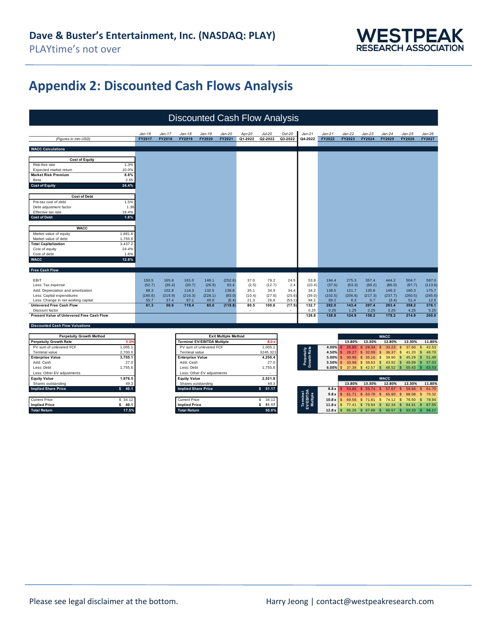

## **Appendix 2: Discounted Cash Flows Analysis**

|                                                                           | <b>Discounted Cash Flow Analysis</b> |               |                                    |                            |                             |                          |                       |          |                           |          |                        |                        |                                     |                         |                       |
|---------------------------------------------------------------------------|--------------------------------------|---------------|------------------------------------|----------------------------|-----------------------------|--------------------------|-----------------------|----------|---------------------------|----------|------------------------|------------------------|-------------------------------------|-------------------------|-----------------------|
|                                                                           | $Jan-16$                             | $Jan-17$      | $Jan-18$                           | $Jan-19$                   | $Jan-20$                    | Apr-20                   | Jul-20                | $Oct-20$ | $Jan-21$                  | $Jan-21$ | $Jan-22$               | $Jan-23$               | $Jan-24$                            | $Jan-25$                | $Jan-26$              |
| (Figures in mm USD)                                                       | FY2017                               | <b>FY2018</b> | FY2019                             | FY2020                     | FY2021                      | Q1-2022                  | Q2-2022               | Q3-2022  | Q4-2022                   | FY2022   | FY2023                 | FY2024                 | FY2025                              | <b>FY2026</b>           | FY2027                |
| <b>WACC Calculations</b>                                                  |                                      |               |                                    |                            |                             |                          |                       |          |                           |          |                        |                        |                                     |                         |                       |
| <b>Cost of Equity</b>                                                     |                                      |               |                                    |                            |                             |                          |                       |          |                           |          |                        |                        |                                     |                         |                       |
| 1.3%<br>Risk-free rate                                                    |                                      |               |                                    |                            |                             |                          |                       |          |                           |          |                        |                        |                                     |                         |                       |
| Expected market return<br>10.0%                                           |                                      |               |                                    |                            |                             |                          |                       |          |                           |          |                        |                        |                                     |                         |                       |
| 8.8%<br><b>Market Risk Premium</b><br>2.65                                |                                      |               |                                    |                            |                             |                          |                       |          |                           |          |                        |                        |                                     |                         |                       |
| Beta<br>24.4%<br><b>Cost of Equity</b>                                    |                                      |               |                                    |                            |                             |                          |                       |          |                           |          |                        |                        |                                     |                         |                       |
|                                                                           |                                      |               |                                    |                            |                             |                          |                       |          |                           |          |                        |                        |                                     |                         |                       |
| <b>Cost of Debt</b>                                                       |                                      |               |                                    |                            |                             |                          |                       |          |                           |          |                        |                        |                                     |                         |                       |
| 1.5%<br>Pre-tax cost of debt                                              |                                      |               |                                    |                            |                             |                          |                       |          |                           |          |                        |                        |                                     |                         |                       |
| Debt adjustment factor<br>1.38                                            |                                      |               |                                    |                            |                             |                          |                       |          |                           |          |                        |                        |                                     |                         |                       |
| Effective tax rate<br>19.4%                                               |                                      |               |                                    |                            |                             |                          |                       |          |                           |          |                        |                        |                                     |                         |                       |
| <b>Cost of Debt</b><br>1.6%                                               |                                      |               |                                    |                            |                             |                          |                       |          |                           |          |                        |                        |                                     |                         |                       |
|                                                                           |                                      |               |                                    |                            |                             |                          |                       |          |                           |          |                        |                        |                                     |                         |                       |
| <b>WACC</b>                                                               |                                      |               |                                    |                            |                             |                          |                       |          |                           |          |                        |                        |                                     |                         |                       |
| 1,681.6<br>Market value of equity                                         |                                      |               |                                    |                            |                             |                          |                       |          |                           |          |                        |                        |                                     |                         |                       |
| Market value of debt<br>1,755.6<br><b>Total Capitalization</b><br>3,437.2 |                                      |               |                                    |                            |                             |                          |                       |          |                           |          |                        |                        |                                     |                         |                       |
| 24.4%<br>Cost of equity                                                   |                                      |               |                                    |                            |                             |                          |                       |          |                           |          |                        |                        |                                     |                         |                       |
| Cost of debt<br>1.6%                                                      |                                      |               |                                    |                            |                             |                          |                       |          |                           |          |                        |                        |                                     |                         |                       |
| <b>WACC</b><br>12.8%                                                      |                                      |               |                                    |                            |                             |                          |                       |          |                           |          |                        |                        |                                     |                         |                       |
|                                                                           |                                      |               |                                    |                            |                             |                          |                       |          |                           |          |                        |                        |                                     |                         |                       |
| <b>Free Cash Flow</b>                                                     |                                      |               |                                    |                            |                             |                          |                       |          |                           |          |                        |                        |                                     |                         |                       |
| EBIT                                                                      | 150.5                                | 165.8         | 161.0                              | 148.1                      | (252.6)                     | 37.0                     | 79.2                  | 24.5     | 53.8                      | 194.4    | 275.3                  | 357.4                  | 444.2                               | 504.7                   | 587.0                 |
| Less: Tax expense                                                         | (52.7)                               | (35.4)        | (30.7)                             | (26.9)                     | 83.4                        | (2.5)                    | (12.7)                | 2.4      | (10.4)                    | (37.6)   | (53.3)                 | (69.2)                 | (86.0)                              | (97.7)                  | (113.6)               |
| Add: Depreciation and amortization                                        | 88.3                                 | 102.8         | 118.3                              | 132.5                      | 138.8                       | 35.1                     | 34.9                  | 34.4     | 34.2                      | 138.5    | 121.7                  | 135.8                  | 146.3                               | 160.3                   | 175.7                 |
| Less: Capital expenditures                                                | (180.6)                              | (219.9)       | (216.3)                            | (228.1)                    | (83.0)                      | (10.4)                   | (27.6)                | (25.6)   | (39.0)                    | (102.5)  | (206.6)                | (217.3)                | (237.7)                             | (260.5)                 | (285.6)               |
| Less: Change in net working capital                                       | 55.7                                 | 37.4          | 87.1                               | 40.0                       | (6.4)                       | 21.3                     | 26.8                  | (53.1)   | 94.2                      | 89.2     | 6.3                    | 0.7                    | (3.4)                               | 51.4                    | 12.6                  |
| <b>Unlevered Free Cash Flow</b>                                           | 61.3                                 | 50.6          | 119.4                              | 65.6                       | (119.8)                     | 80.5                     | 100.6                 | (17.5)   | 132.7                     | 282.0    | 143.4                  | 207.4                  | 263.4                               | 358.2                   | 376.1                 |
| Discount factor                                                           |                                      |               |                                    |                            |                             | $\overline{\phantom{a}}$ |                       |          | 0.25                      | 0.25     | 1.25                   | 2.25                   | 3.25                                | 4.25                    | 5.25<br>200.0         |
| Present Value of Unlevered Free Cash Flow                                 |                                      |               |                                    |                            |                             |                          |                       |          | 128.8                     | 128.8    | 124.9                  | 158.2                  | 178.2                               | 214.9                   |                       |
| <b>Discounted Cash Flow Valuations</b>                                    |                                      |               |                                    |                            |                             |                          |                       |          |                           |          |                        |                        |                                     |                         |                       |
|                                                                           |                                      |               |                                    |                            |                             |                          |                       |          |                           |          |                        |                        |                                     |                         |                       |
| <b>Perpetuity Growth Method</b>                                           |                                      |               |                                    |                            | <b>Exit Multiple Method</b> |                          |                       |          |                           |          |                        |                        | <b>WACC</b>                         |                         |                       |
| <b>Perpetuity Growth Rate</b><br>5.0                                      |                                      |               | <b>Terminal EV/EBITDA Multiple</b> |                            |                             |                          | 8.0 <sub>1</sub>      |          |                           |          | 13.80%                 | 13.30%                 | 12.80%                              | 12.30%                  | 11.80%                |
| PV sum of unlevered FCF<br>1,005.1                                        |                                      |               |                                    | PV sum of unlevered FCF    |                             |                          | 1,005.1               |          |                           | 4.00%    | 25.85                  | $\mathbf{s}$<br>29.34  | $\mathsf{s}$<br>33.23               | 37.60<br>$\mathfrak{S}$ | 42.53<br>\$.          |
| Terminal value<br>2,700.0                                                 |                                      |               | Terminal value                     |                            |                             |                          | 3245.32               |          |                           | 4.50%    | 28.27<br>s.            | $\mathsf{\$}$<br>32.09 | $\mathsf{s}$<br>36.37               | $\mathsf{\$}$<br>41.20  | 46.70<br>S            |
| <b>Enterprise Value</b><br>3,705.1                                        |                                      |               | <b>Enterprise Value</b>            |                            |                             |                          | 4,250.4               |          | Perpetuity<br>Growth Rate | 5.00%    | $\mathsf{\$}$<br>30.96 | \$35.16                | $\mathsf{s}$<br>39.90               | $\mathfrak{s}$<br>45.29 | $\mathbf{s}$<br>51.49 |
| 27.0<br>Add: Cash<br>Less: Debt                                           |                                      |               | Add: Cash                          |                            |                             |                          | 27.0                  |          |                           | 5.50%    | $\mathbb{S}$<br>33.98  | \$38.63                | \$43.92                             | $\mathsf{S}$<br>49.99   | <b>S</b><br>57.03     |
| 1,755.6                                                                   |                                      |               | Less: Debt                         |                            |                             |                          | 1,755.6               |          |                           | 6.00%    | $\mathbf{s}$           |                        | 37.38 \$ 42.57 \$ 48.52 \$ 55.43 \$ |                         | 63.53                 |
| Less: Other EV adjustments<br>1,976.5<br><b>Equity Value</b>              |                                      |               | <b>Equity Value</b>                | Less: Other EV adjustments |                             |                          | 2,521.8               |          |                           |          |                        |                        | <b>WACC</b>                         |                         |                       |
| Shares outstanding<br>49.3                                                |                                      |               | Shares outstanding                 |                            |                             |                          | 49.3                  |          |                           |          | 13.80%                 | 13.30%                 | 12.80%                              | 12.30%                  | 11.80%                |
| <b>Implied Share Price</b><br>\$<br>40.1                                  |                                      |               | <b>Implied Share Price</b>         |                            |                             |                          | $\mathsf{s}$<br>51.17 |          |                           | 8.8x     | 53.86                  | $$55.74$ S             | 57.67                               | 59.66<br>\$             | 61.70<br>S            |
|                                                                           |                                      |               |                                    |                            |                             |                          |                       |          |                           | 9.8x     | 61.71<br><b>S</b>      | $\mathsf{\$}$<br>63.78 | $\mathsf{s}$<br>65.90               | $\mathsf{\$}$<br>68.08  | 70.32<br><b>S</b>     |
| <b>Current Price</b><br>\$34.12                                           |                                      |               | <b>Current Price</b>               |                            |                             |                          | \$34.12               |          | Multiple                  | 10.8x    | 69.56<br>\$            | $$71.81$ \$            | 74.12                               | $\mathbf{s}$<br>76.50   | $\mathsf{s}$<br>78.94 |
| \$ 40.1<br><b>Implied Price</b>                                           |                                      |               | <b>Implied Price</b>               |                            |                             |                          | \$51.17               |          |                           | 11.8x    | $\sqrt{3}$             |                        | 77.41 \$ 79.84 \$ 82.34 \$ 84.91 \$ |                         | 87.55                 |

**Total Return 17.5% Total Return 50.0% 12.8 x** \$ 85.26 \$ 87.88 \$ 90.57 \$ 93.33 \$ 96.17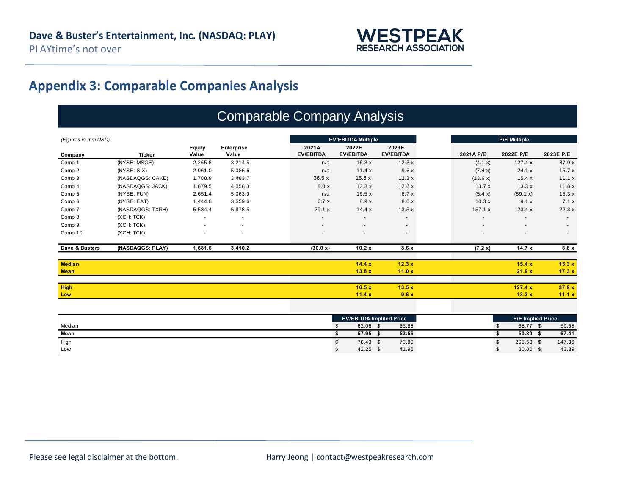

## **Appendix 3: Comparable Companies Analysis**

## Comparable Company Analysis

| (Figures in mm USD) |                  |                          |                          | <b>EV/EBITDA Multiple</b> |                          | <b>P/E Multiple</b>      |                          |                          |                          |
|---------------------|------------------|--------------------------|--------------------------|---------------------------|--------------------------|--------------------------|--------------------------|--------------------------|--------------------------|
|                     |                  | Equity                   | Enterprise               | 2021A                     | 2022E                    | 2023E                    |                          |                          |                          |
| Company             | <b>Ticker</b>    | Value                    | Value                    | <b>EV/EBITDA</b>          | <b>EV/EBITDA</b>         | <b>EV/EBITDA</b>         | 2021A P/E                | 2022E P/E                | 2023E P/E                |
| Comp 1              | (NYSE: MSGE)     | 2,265.8                  | 3,214.5                  | n/a                       | 16.3x                    | 12.3x                    | (4.1 x)                  | 127.4x                   | 37.9x                    |
| Comp 2              | (NYSE: SIX)      | 2,961.0                  | 5,386.6                  | n/a                       | 11.4x                    | 9.6x                     | (7.4 x)                  | 24.1 x                   | 15.7x                    |
| Comp 3              | (NASDAQGS: CAKE) | 1,788.9                  | 3,483.7                  | 36.5x                     | 15.6x                    | 12.3x                    | (13.6 x)                 | 15.4 x                   | 11.1 x                   |
| Comp 4              | (NASDAQGS: JACK) | 1,879.5                  | 4,058.3                  | 8.0x                      | 13.3x                    | 12.6x                    | 13.7x                    | 13.3x                    | 11.8x                    |
| Comp 5              | (NYSE: FUN)      | 2,651.4                  | 5,063.9                  | n/a                       | 16.5x                    | 8.7x                     | (5.4 x)                  | (59.1 x)                 | 15.3x                    |
| Comp 6              | (NYSE: EAT)      | 1,444.6                  | 3,559.6                  | 6.7 x                     | 8.9x                     | 8.0 x                    | 10.3x                    | 9.1 x                    | 7.1x                     |
| Comp 7              | (NASDAQGS: TXRH) | 5,584.4                  | 5,978.5                  | 29.1 x                    | 14.4 x                   | 13.5x                    | 157.1 x                  | 23.4 x                   | 22.3x                    |
| Comp 8              | (XCH: TCK)       | $\overline{\phantom{a}}$ | $\overline{\phantom{a}}$ | $\overline{\phantom{a}}$  | $\overline{\phantom{a}}$ | $\sim$                   | $\overline{\phantom{a}}$ | $\overline{\phantom{a}}$ | $\sim$                   |
| Comp 9              | (XCH: TCK)       | $\sim$                   | $\overline{\phantom{a}}$ | $\overline{\phantom{a}}$  | $\overline{\phantom{a}}$ | $\overline{\phantom{a}}$ | $\overline{\phantom{a}}$ | $\overline{\phantom{a}}$ | $\overline{\phantom{a}}$ |
| Comp 10             | (XCH: TCK)       | $\overline{\phantom{a}}$ | $\overline{\phantom{a}}$ |                           |                          | $\overline{\phantom{a}}$ |                          | $\overline{\phantom{a}}$ | $\overline{\phantom{a}}$ |
| Dave & Busters      | (NASDAQGS: PLAY) | 1,681.6                  | 3,410.2                  | (30.0 x)                  | 10.2x                    | 8.6x                     | (7.2 x)                  | 14.7x                    | 8.8 x                    |
| <b>Median</b>       |                  |                          |                          |                           | 14.4 x                   | 12.3x                    |                          | 15.4 x                   | 15.3 x                   |
| <b>Mean</b>         |                  |                          |                          |                           | 13.8x                    | 11.0x                    |                          | 21.9x                    | 17.3 x                   |
| <b>High</b>         |                  |                          |                          |                           | 16.5x                    | 13.5x                    |                          | 127.4 x                  | 37.9x                    |
| Low                 |                  |                          |                          |                           | 11.4x                    | 9.6x                     |                          | 13.3x                    | 11.1 x                   |
|                     |                  |                          |                          |                           |                          |                          |                          |                          |                          |

|        | <b>EV/EBITDA Impliled Price</b> |       |  | <b>P/E Implied Price</b> |        |
|--------|---------------------------------|-------|--|--------------------------|--------|
| Median | 62.06                           | 63.88 |  | 35.77                    | 59.58  |
| Mean   | 57.95                           | 53.56 |  | 50.89                    | 67.41  |
| High   | 76.43                           | 73.80 |  | 295.53                   | 147.36 |
| Low    | 42.25                           | 41.95 |  | $30.80$ \$               | 43.39  |